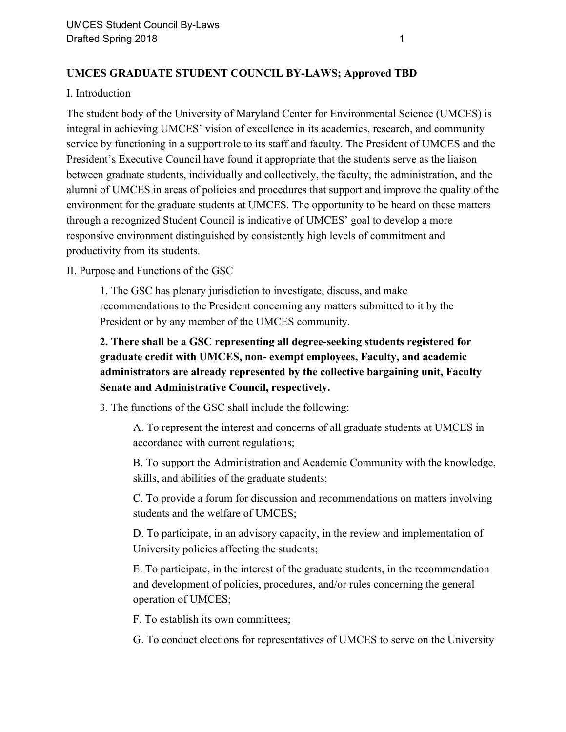## **UMCES GRADUATE STUDENT COUNCIL BY-LAWS; Approved TBD**

## I. Introduction

The student body of the University of Maryland Center for Environmental Science (UMCES) is integral in achieving UMCES' vision of excellence in its academics, research, and community service by functioning in a support role to its staff and faculty. The President of UMCES and the President's Executive Council have found it appropriate that the students serve as the liaison between graduate students, individually and collectively, the faculty, the administration, and the alumni of UMCES in areas of policies and procedures that support and improve the quality of the environment for the graduate students at UMCES. The opportunity to be heard on these matters through a recognized Student Council is indicative of UMCES' goal to develop a more responsive environment distinguished by consistently high levels of commitment and productivity from its students.

II. Purpose and Functions of the GSC

1. The GSC has plenary jurisdiction to investigate, discuss, and make recommendations to the President concerning any matters submitted to it by the President or by any member of the UMCES community.

# **2. There shall be a GSC representing all degree-seeking students registered for graduate credit with UMCES, non- exempt employees, Faculty, and academic administrators are already represented by the collective bargaining unit, Faculty Senate and Administrative Council, respectively.**

3. The functions of the GSC shall include the following:

A. To represent the interest and concerns of all graduate students at UMCES in accordance with current regulations;

B. To support the Administration and Academic Community with the knowledge, skills, and abilities of the graduate students;

C. To provide a forum for discussion and recommendations on matters involving students and the welfare of UMCES;

D. To participate, in an advisory capacity, in the review and implementation of University policies affecting the students;

E. To participate, in the interest of the graduate students, in the recommendation and development of policies, procedures, and/or rules concerning the general operation of UMCES;

F. To establish its own committees;

G. To conduct elections for representatives of UMCES to serve on the University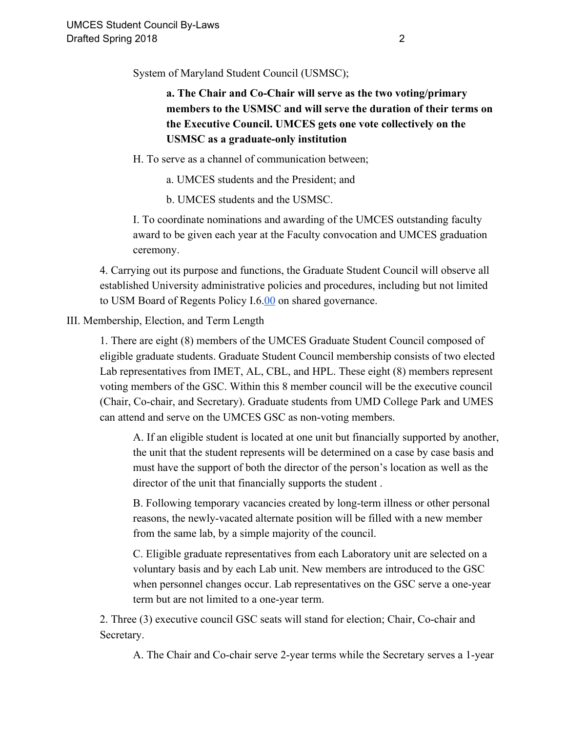System of Maryland Student Council (USMSC);

**a. The Chair and Co-Chair will serve as the two voting/primary members to the USMSC and will serve the duration of their terms on the Executive Council. UMCES gets one vote collectively on the USMSC as a graduate-only institution**

H. To serve as a channel of communication between;

a. UMCES students and the President; and

b. UMCES students and the USMSC.

I. To coordinate nominations and awarding of the UMCES outstanding faculty award to be given each year at the Faculty convocation and UMCES graduation ceremony.

4. Carrying out its purpose and functions, the Graduate Student Council will observe all established University administrative policies and procedures, including but not limited to USM Board of Regents Policy I.6.[00](http://www.usmd.edu/regents/bylaws/SectionI/600.html) on shared governance.

III. Membership, Election, and Term Length

1. There are eight (8) members of the UMCES Graduate Student Council composed of eligible graduate students. Graduate Student Council membership consists of two elected Lab representatives from IMET, AL, CBL, and HPL. These eight (8) members represent voting members of the GSC. Within this 8 member council will be the executive council (Chair, Co-chair, and Secretary). Graduate students from UMD College Park and UMES can attend and serve on the UMCES GSC as non-voting members.

A. If an eligible student is located at one unit but financially supported by another, the unit that the student represents will be determined on a case by case basis and must have the support of both the director of the person's location as well as the director of the unit that financially supports the student .

B. Following temporary vacancies created by long-term illness or other personal reasons, the newly-vacated alternate position will be filled with a new member from the same lab, by a simple majority of the council.

C. Eligible graduate representatives from each Laboratory unit are selected on a voluntary basis and by each Lab unit. New members are introduced to the GSC when personnel changes occur. Lab representatives on the GSC serve a one-year term but are not limited to a one-year term.

2. Three (3) executive council GSC seats will stand for election; Chair, Co-chair and Secretary.

A. The Chair and Co-chair serve 2-year terms while the Secretary serves a 1-year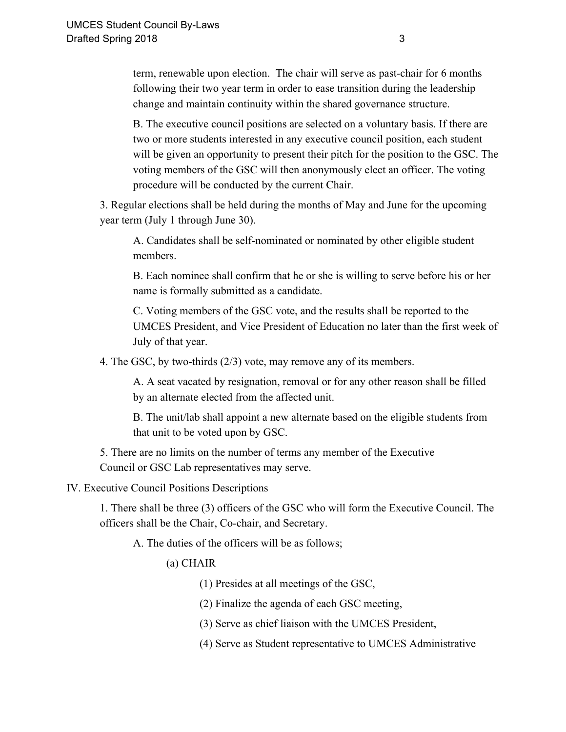term, renewable upon election. The chair will serve as past-chair for 6 months following their two year term in order to ease transition during the leadership change and maintain continuity within the shared governance structure.

B. The executive council positions are selected on a voluntary basis. If there are two or more students interested in any executive council position, each student will be given an opportunity to present their pitch for the position to the GSC. The voting members of the GSC will then anonymously elect an officer. The voting procedure will be conducted by the current Chair.

3. Regular elections shall be held during the months of May and June for the upcoming year term (July 1 through June 30).

A. Candidates shall be self-nominated or nominated by other eligible student members.

B. Each nominee shall confirm that he or she is willing to serve before his or her name is formally submitted as a candidate.

C. Voting members of the GSC vote, and the results shall be reported to the UMCES President, and Vice President of Education no later than the first week of July of that year.

4. The GSC, by two-thirds (2/3) vote, may remove any of its members.

A. A seat vacated by resignation, removal or for any other reason shall be filled by an alternate elected from the affected unit.

B. The unit/lab shall appoint a new alternate based on the eligible students from that unit to be voted upon by GSC.

5. There are no limits on the number of terms any member of the Executive Council or GSC Lab representatives may serve.

#### IV. Executive Council Positions Descriptions

1. There shall be three (3) officers of the GSC who will form the Executive Council. The officers shall be the Chair, Co-chair, and Secretary.

A. The duties of the officers will be as follows;

#### (a) CHAIR

(1) Presides at all meetings of the GSC,

(2) Finalize the agenda of each GSC meeting,

(3) Serve as chief liaison with the UMCES President,

(4) Serve as Student representative to UMCES Administrative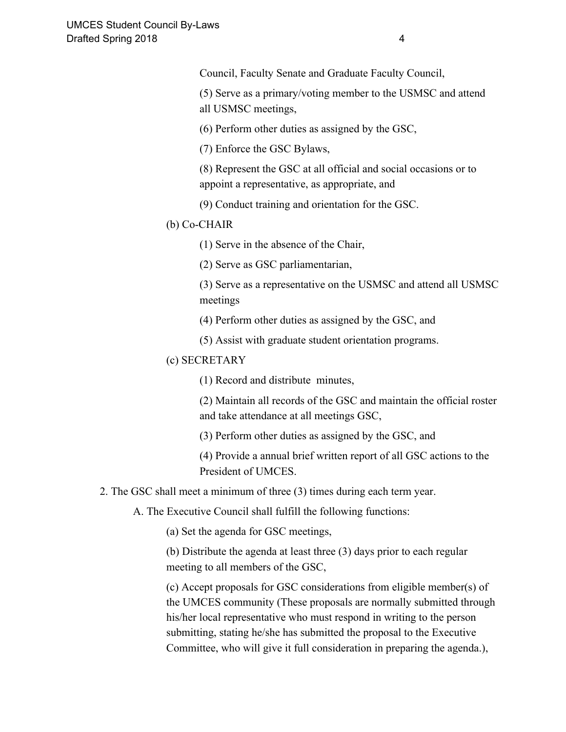Council, Faculty Senate and Graduate Faculty Council,

(5) Serve as a primary/voting member to the USMSC and attend all USMSC meetings,

(6) Perform other duties as assigned by the GSC,

(7) Enforce the GSC Bylaws,

(8) Represent the GSC at all official and social occasions or to appoint a representative, as appropriate, and

(9) Conduct training and orientation for the GSC.

#### (b) Co-CHAIR

(1) Serve in the absence of the Chair,

(2) Serve as GSC parliamentarian,

(3) Serve as a representative on the USMSC and attend all USMSC meetings

(4) Perform other duties as assigned by the GSC, and

(5) Assist with graduate student orientation programs.

#### (c) SECRETARY

(1) Record and distribute minutes,

(2) Maintain all records of the GSC and maintain the official roster and take attendance at all meetings GSC,

(3) Perform other duties as assigned by the GSC, and

(4) Provide a annual brief written report of all GSC actions to the President of UMCES.

2. The GSC shall meet a minimum of three (3) times during each term year.

A. The Executive Council shall fulfill the following functions:

(a) Set the agenda for GSC meetings,

(b) Distribute the agenda at least three (3) days prior to each regular meeting to all members of the GSC,

(c) Accept proposals for GSC considerations from eligible member(s) of the UMCES community (These proposals are normally submitted through his/her local representative who must respond in writing to the person submitting, stating he/she has submitted the proposal to the Executive Committee, who will give it full consideration in preparing the agenda.),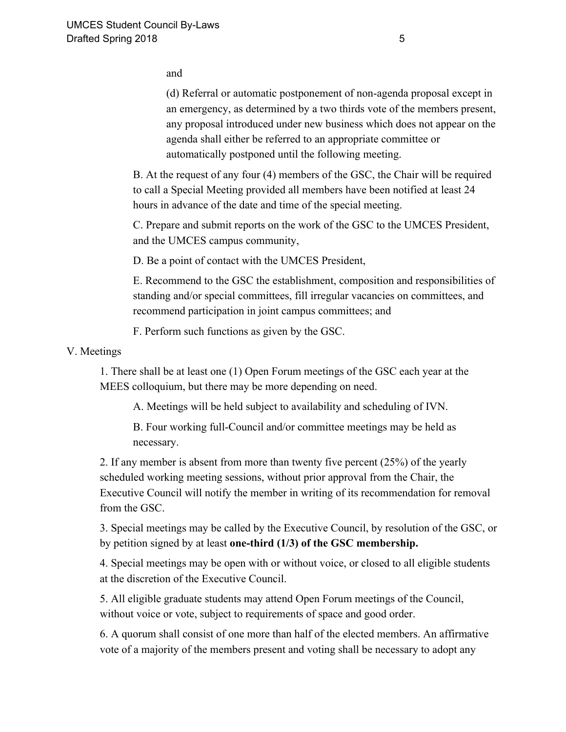and

(d) Referral or automatic postponement of non-agenda proposal except in an emergency, as determined by a two thirds vote of the members present, any proposal introduced under new business which does not appear on the agenda shall either be referred to an appropriate committee or automatically postponed until the following meeting.

B. At the request of any four (4) members of the GSC, the Chair will be required to call a Special Meeting provided all members have been notified at least 24 hours in advance of the date and time of the special meeting.

C. Prepare and submit reports on the work of the GSC to the UMCES President, and the UMCES campus community,

D. Be a point of contact with the UMCES President,

E. Recommend to the GSC the establishment, composition and responsibilities of standing and/or special committees, fill irregular vacancies on committees, and recommend participation in joint campus committees; and

F. Perform such functions as given by the GSC.

### V. Meetings

1. There shall be at least one (1) Open Forum meetings of the GSC each year at the MEES colloquium, but there may be more depending on need.

A. Meetings will be held subject to availability and scheduling of IVN.

B. Four working full-Council and/or committee meetings may be held as necessary.

2. If any member is absent from more than twenty five percent (25%) of the yearly scheduled working meeting sessions, without prior approval from the Chair, the Executive Council will notify the member in writing of its recommendation for removal from the GSC.

3. Special meetings may be called by the Executive Council, by resolution of the GSC, or by petition signed by at least **one-third (1/3) of the GSC membership.**

4. Special meetings may be open with or without voice, or closed to all eligible students at the discretion of the Executive Council.

5. All eligible graduate students may attend Open Forum meetings of the Council, without voice or vote, subject to requirements of space and good order.

6. A quorum shall consist of one more than half of the elected members. An affirmative vote of a majority of the members present and voting shall be necessary to adopt any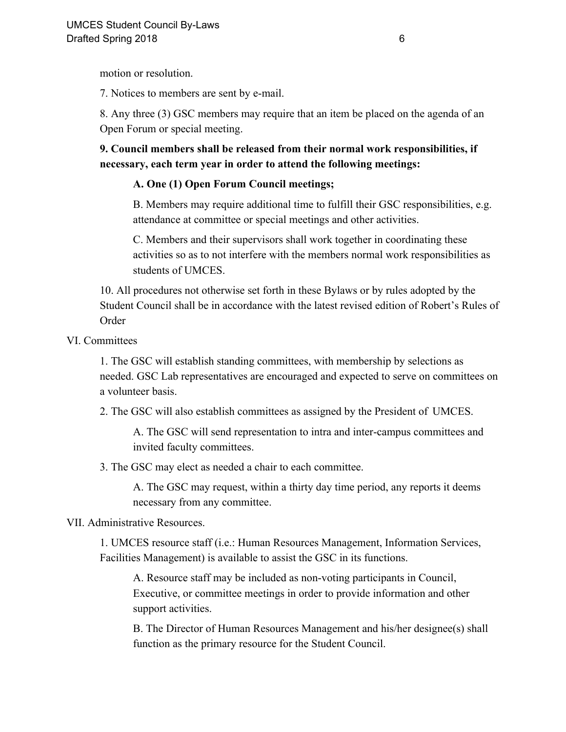motion or resolution.

7. Notices to members are sent by e-mail.

8. Any three (3) GSC members may require that an item be placed on the agenda of an Open Forum or special meeting.

**9. Council members shall be released from their normal work responsibilities, if necessary, each term year in order to attend the following meetings:**

## **A. One (1) Open Forum Council meetings;**

B. Members may require additional time to fulfill their GSC responsibilities, e.g. attendance at committee or special meetings and other activities.

C. Members and their supervisors shall work together in coordinating these activities so as to not interfere with the members normal work responsibilities as students of UMCES.

10. All procedures not otherwise set forth in these Bylaws or by rules adopted by the Student Council shall be in accordance with the latest revised edition of Robert's Rules of Order

VI. Committees

1. The GSC will establish standing committees, with membership by selections as needed. GSC Lab representatives are encouraged and expected to serve on committees on a volunteer basis.

2. The GSC will also establish committees as assigned by the President of UMCES.

A. The GSC will send representation to intra and inter-campus committees and invited faculty committees.

3. The GSC may elect as needed a chair to each committee.

A. The GSC may request, within a thirty day time period, any reports it deems necessary from any committee.

## VII. Administrative Resources.

1. UMCES resource staff (i.e.: Human Resources Management, Information Services, Facilities Management) is available to assist the GSC in its functions.

A. Resource staff may be included as non-voting participants in Council, Executive, or committee meetings in order to provide information and other support activities.

B. The Director of Human Resources Management and his/her designee(s) shall function as the primary resource for the Student Council.